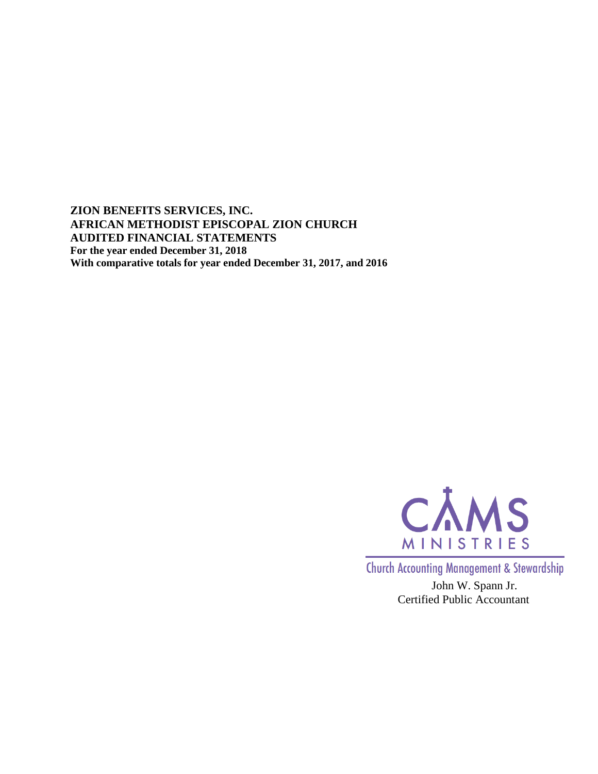**ZION BENEFITS SERVICES, INC. AFRICAN METHODIST EPISCOPAL ZION CHURCH AUDITED FINANCIAL STATEMENTS For the year ended December 31, 2018 With comparative totals for year ended December 31, 2017, and 2016**



**Church Accounting Management & Stewardship** 

John W. Spann Jr. Certified Public Accountant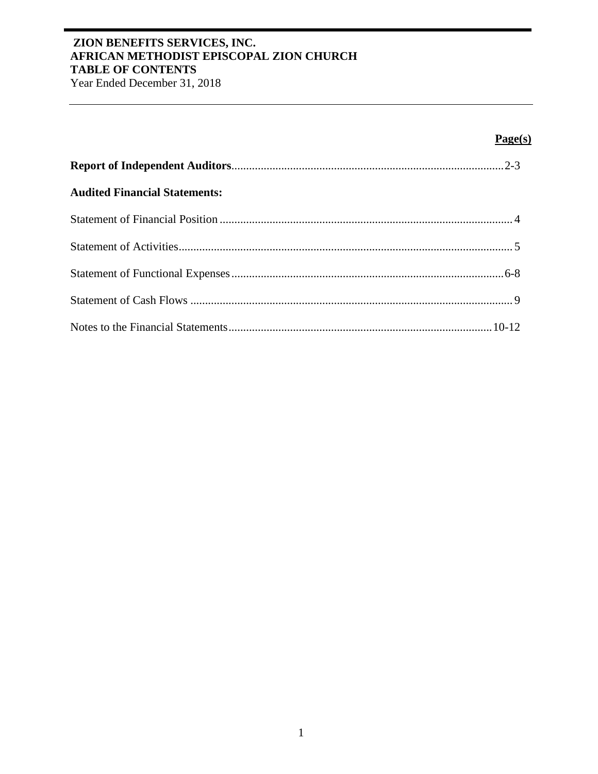# **ZION BENEFITS SERVICES, INC. AFRICAN METHODIST EPISCOPAL ZION CHURCH TABLE OF CONTENTS**

Year Ended December 31, 2018

# **Page(s)**

| <b>Audited Financial Statements:</b> |  |
|--------------------------------------|--|
|                                      |  |
|                                      |  |
|                                      |  |
|                                      |  |
|                                      |  |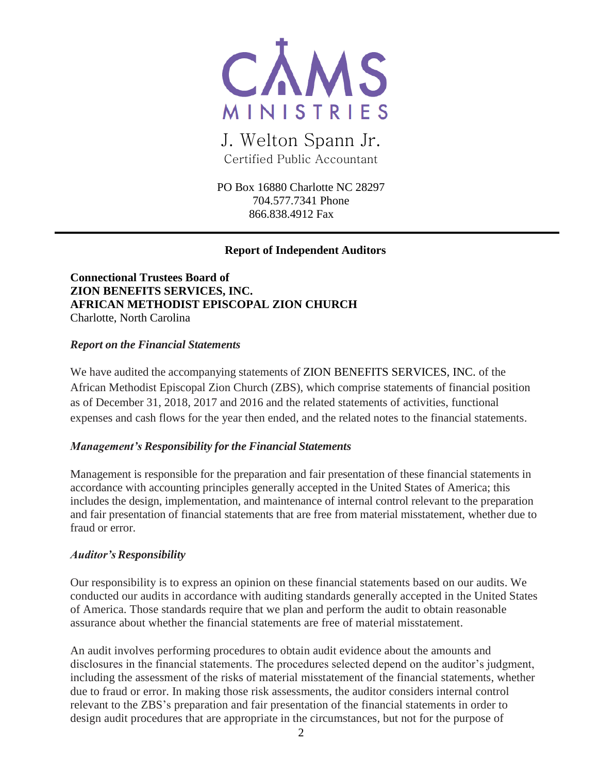

J. Welton Spann Jr. Certified Public Accountant

PO Box 16880 Charlotte NC 28297 704.577.7341 Phone 866.838.4912 Fax

## **Report of Independent Auditors**

**Connectional Trustees Board of ZION BENEFITS SERVICES, INC. AFRICAN METHODIST EPISCOPAL ZION CHURCH** Charlotte, North Carolina

#### *Report on the Financial Statements*

We have audited the accompanying statements of ZION BENEFITS SERVICES, INC. of the African Methodist Episcopal Zion Church (ZBS), which comprise statements of financial position as of December 31, 2018, 2017 and 2016 and the related statements of activities, functional expenses and cash flows for the year then ended, and the related notes to the financial statements.

### *Management's Responsibility for the Financial Statements*

Management is responsible for the preparation and fair presentation of these financial statements in accordance with accounting principles generally accepted in the United States of America; this includes the design, implementation, and maintenance of internal control relevant to the preparation and fair presentation of financial statements that are free from material misstatement, whether due to fraud or error.

### *Auditor'sResponsibility*

Our responsibility is to express an opinion on these financial statements based on our audits. We conducted our audits in accordance with auditing standards generally accepted in the United States of America. Those standards require that we plan and perform the audit to obtain reasonable assurance about whether the financial statements are free of material misstatement.

An audit involves performing procedures to obtain audit evidence about the amounts and disclosures in the financial statements. The procedures selected depend on the auditor's judgment, including the assessment of the risks of material misstatement of the financial statements, whether due to fraud or error. In making those risk assessments, the auditor considers internal control relevant to the ZBS's preparation and fair presentation of the financial statements in order to design audit procedures that are appropriate in the circumstances, but not for the purpose of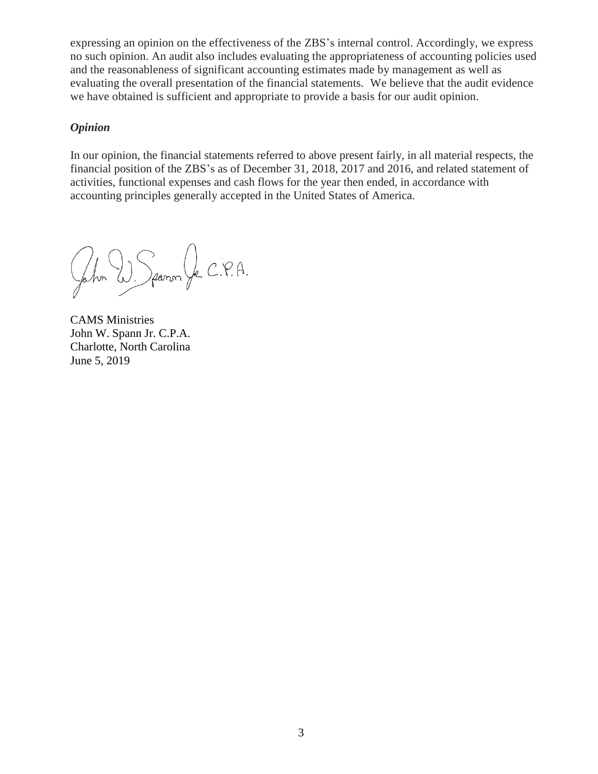expressing an opinion on the effectiveness of the ZBS's internal control. Accordingly, we express no such opinion. An audit also includes evaluating the appropriateness of accounting policies used and the reasonableness of significant accounting estimates made by management as well as evaluating the overall presentation of the financial statements. We believe that the audit evidence we have obtained is sufficient and appropriate to provide a basis for our audit opinion.

### *Opinion*

In our opinion, the financial statements referred to above present fairly, in all material respects, the financial position of the ZBS's as of December 31, 2018, 2017 and 2016, and related statement of activities, functional expenses and cash flows for the year then ended, in accordance with accounting principles generally accepted in the United States of America.

John W. Spanon Jr. C.P.A.

CAMS Ministries John W. Spann Jr. C.P.A. Charlotte, North Carolina June 5, 2019